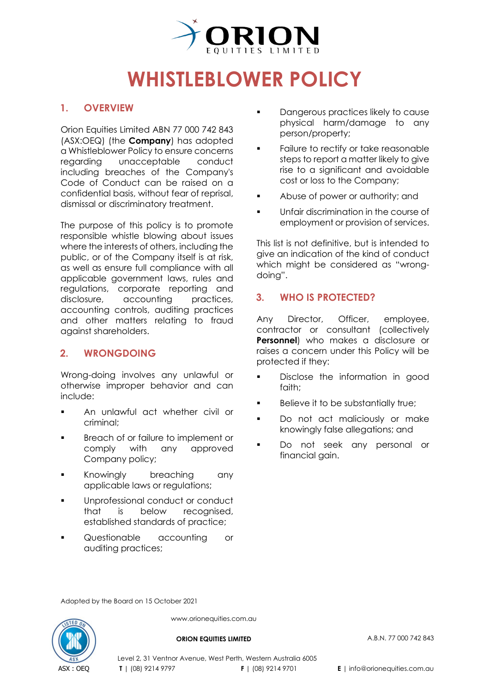

# **WHISTLEBLOWER POLICY**

## **1. OVERVIEW**

Orion Equities Limited ABN 77 000 742 843 (ASX[:OEQ\)](https://www2.asx.com.au/markets/company/oeq) (the **Company**) has adopted a Whistleblower Policy to ensure concerns regarding unacceptable conduct including breaches of the Company's Code of Conduct can be raised on a confidential basis, without fear of reprisal, dismissal or discriminatory treatment.

The purpose of this policy is to promote responsible whistle blowing about issues where the interests of others, including the public, or of the Company itself is at risk, as well as ensure full compliance with all applicable government laws, rules and regulations, corporate reporting and disclosure, accounting practices, accounting controls, auditing practices and other matters relating to fraud against shareholders.

## **2. WRONGDOING**

Wrong-doing involves any unlawful or otherwise improper behavior and can include:

- An unlawful act whether civil or criminal;
- **Breach of or failure to implement or** comply with any approved Company policy;
- **Knowingly** breaching any applicable laws or regulations;
- **Unprofessional conduct or conduct** that is below recognised, established standards of practice;
- **Questionable** accounting or auditing practices;
- **Dangerous practices likely to cause** physical harm/damage to any person/property;
- Failure to rectify or take reasonable steps to report a matter likely to aive rise to a significant and avoidable cost or loss to the Company;
- Abuse of power or authority; and
- **Unfair discrimination in the course of** employment or provision of services.

This list is not definitive, but is intended to give an indication of the kind of conduct which might be considered as "wrongdoing".

## **3. WHO IS PROTECTED?**

Any Director, Officer, employee, contractor or consultant (collectively **Personnel**) who makes a disclosure or raises a concern under this Policy will be protected if they:

- **Disclose the information in good** faith;
- Believe it to be substantially true;
- Do not act maliciously or make knowingly false allegations; and
- Do not seek any personal or financial gain.

Adopted by the Board on 15 October 2021



www.orionequities.com.au

#### **ORION EQUITIES LIMITED** A.B.N. 77 000 742 843

Level 2, 31 Ventnor Avenue, West Perth, Western Australia 6005 **T** | (08) 9214 9797 **F** | (08) 9214 9701 **E** | info@orionequities.com.au